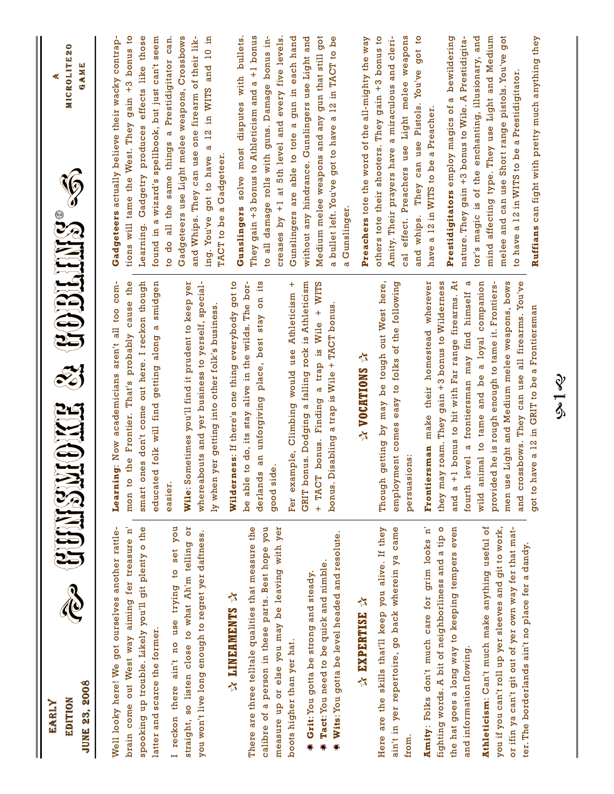| <b>JUNE 23, 2008</b><br>EDITION<br>EARLY                                                                                                                                                                              | a duidhoma a comhaine a                                                                                                                                                                                       | ۰<br><b>MICROLITE2</b><br>GAME                                                                                                                                                                                   |
|-----------------------------------------------------------------------------------------------------------------------------------------------------------------------------------------------------------------------|---------------------------------------------------------------------------------------------------------------------------------------------------------------------------------------------------------------|------------------------------------------------------------------------------------------------------------------------------------------------------------------------------------------------------------------|
| Well looky here! We got ourselves another rattle-<br>brain come out West way aiming fer treasure n'                                                                                                                   | Learning: Now academicians aren't all too com-<br>the Frontier. That's probably cause the<br>mon to                                                                                                           | tions will tame the West. They gain +3 bonus to<br>Gadgeteers actually believe their wacky contrap-                                                                                                              |
| spooking up trouble. Likely you'll git plenty o the<br>latter and scarce the former.                                                                                                                                  | smart ones don't come out here. I reckon though<br>educated folk will find getting along a smidgen                                                                                                            | Learning. Gadgetry produces effects like those<br>found in a wizard's spellbook, but just can't seem                                                                                                             |
| I reckon there ain't no use trying to set you                                                                                                                                                                         | easier.                                                                                                                                                                                                       | to do all the same things a Prestidigitator can.                                                                                                                                                                 |
| straight, so listen close to what Ah'm telling or<br>you won't live long enough to regret yer daftness.                                                                                                               | outs and yer business to yerself, special-<br>Wile: Sometimes you'll find it prudent to keep yer<br>ly when yer getting into other folk's business.<br>whereab                                                | and Whips. They can use one firearm of their lik-<br>Gadgeteers use Light melee weapons, Crossbows<br>£,<br>and 10<br>a 12 in WITS<br>got to have<br>ing. You've                                                 |
| <b>A LINEAMENTS</b>                                                                                                                                                                                                   | Wilderness: If there's one thing everybody got to                                                                                                                                                             | TACT to be a Gadgeteer                                                                                                                                                                                           |
| There are three telltale qualities that measure the<br>calibre of a person in these parts. Best hope you<br>measure up or else you may be leaving with yer                                                            | an unforgiving place, best stay on its<br>to do, its stay alive in the wilds. The bor-<br>ق<br>derlands<br>good sid<br>be able                                                                                | They gain $+3$ bonus to Athleticism and a $+1$ bonus<br>to all damage rolls with guns. Damage bonus in-<br>creases by +1 at 5th level and every five levels.<br>solve most disputes with bullets.<br>Gunslingers |
| boots higher than yer hat.                                                                                                                                                                                            | Fer example, Climbing would use Athleticism +                                                                                                                                                                 | Gunslingers are able to tote a gun in each hand                                                                                                                                                                  |
| <b>Wits:</b> You gotta be level headed and resolute.<br>Tact: You need to be quick and nimble.<br>Grit: You gotta be strong and steady                                                                                | GRIT bonus. Dodging a falling rock is Athleticism<br><b>WITS</b><br>bonus. Disabling a trap is Wile + TACT bonus<br>$\ddot{}$<br>Wile<br>$\frac{1}{2}$<br>a trap<br>bonus. Finding<br>+ TACT                  | without any hindrance. Gunslingers use Light and<br>Medium melee weapons and any gun that still got<br>a bullet left. You've got to have a 12 in TACT to be<br>Gunslinger<br>ಡ                                   |
| A EXPERTISE A                                                                                                                                                                                                         | ☆ VOCATIONS ☆                                                                                                                                                                                                 | Preachers tote the word of the all-mighty the way                                                                                                                                                                |
| ain't in yer repertoire, go back wherein ya came<br>Here are the skills that'll keep you alive. If they<br>from                                                                                                       | getting by may be tough out West here,<br>employment comes easy to folks of the following<br>persuasions:<br>Though                                                                                           | Amity. Their prayers have a miraculous and cleri-<br>cal effect. Preachers use Light melee weapons<br>got to<br>others tote their shooters. They gain +3 bonus to<br>They can use Pistols. You've<br>and whips.  |
| Amity: Folks don't much care for grim looks n'                                                                                                                                                                        | make their homestead wherever<br>sman<br>Frontier                                                                                                                                                             | have a 12 in WITS to be a Preacher.                                                                                                                                                                              |
| fighting words. A bit of neighborliness and a tip o<br>the hat goes a long way to keeping tempers even<br>and information flowing.                                                                                    | bonus to hit with Far range firearms. At<br>roam. They gain +3 bonus to Wilderness<br>fourth level a frontiersman may find himself a<br>they may<br>and $a + 1$                                               | bewildering<br>nature. They gain +3 bonus to Wile. A Prestidigita-<br>Prestidigitators employ magics of a                                                                                                        |
| Athleticism: Can't much make anything useful of<br>you if you can't roll up yer sleeves and git to work,<br>or ifin ya can't git out of yer own way fer that mat-<br>ter. The borderlands ain't no place fer a dandy. | wild animal to tame and be a loyal companion<br>sbows. They can use all firearms. You've<br>Light and Medium melee weapons, bows<br>provided he is rough enough to tame it. Frontiers-<br>men use<br>and cros | got<br>and<br>mind affecting type. They use Light and Medium<br>tor's magic is of the enchanting, illusionary,<br>melee and can use Short range pistols. You've<br>to have a 12 in WITS to be a Prestidigitator  |
|                                                                                                                                                                                                                       | got to have a 12 in GRIT to be a Frontiersman                                                                                                                                                                 | Ruffians can fight with pretty much anything they                                                                                                                                                                |
|                                                                                                                                                                                                                       | <u>?</u>                                                                                                                                                                                                      |                                                                                                                                                                                                                  |

२<br>९<br>९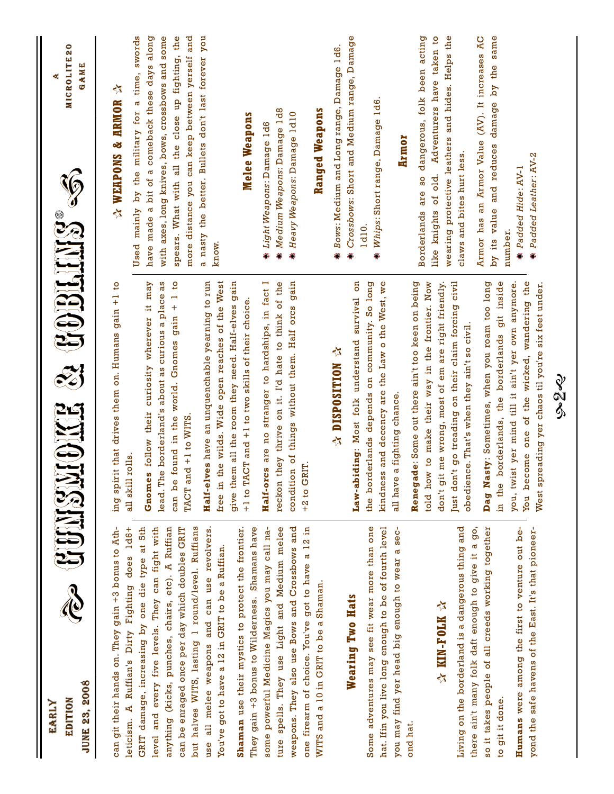| <b>JUNE 23, 2008</b><br>EDITION<br>EARLY                                                                | a duinsidire a comparte                                                                                                                                     | MICROLITE20<br>GAME                                                                                   |
|---------------------------------------------------------------------------------------------------------|-------------------------------------------------------------------------------------------------------------------------------------------------------------|-------------------------------------------------------------------------------------------------------|
| can git their hands on. They gain +3 bonus to Ath-<br>leticism. A Ruffian's Dirty Fighting does 1d6+    | ing spirit that drives them on. Humans gain +1 to<br>all skill rolls.                                                                                       | <b>A WEAPONS &amp; ARMOR</b>                                                                          |
| GRIT damage, increasing by one die type at 5th                                                          |                                                                                                                                                             | Used mainly by the military for a time, swords                                                        |
| level and every five levels. They can fight with                                                        | curiosity wherever it may<br>as<br>lead. The borderland's about as curious a place<br>Gnomes follow their                                                   | have made a bit of a comeback these days along<br>with axes, long knives, bows, crossbows and some    |
| anything (kicks, punches, chairs, etc). A Ruffian<br>can be enraged once per day which doubles GRIT     | found in the world. Gnomes gain + 1 to<br>TACT and +1 to WITS<br>can be                                                                                     | spears. What with all the close up fighting, the<br>and<br>more distance you can keep between yerself |
| but halves WITS, lasting 1 round/level. Ruffians<br>all melee weapons and can use revolvers.<br>use     | Half-elves have an unquenchable yearning to run                                                                                                             | a nasty the better. Bullets don't last forever you                                                    |
| You've got to have a 12 in GRIT to be a Ruffian.                                                        | free in the wilds. Wide open reaches of the West                                                                                                            | know.                                                                                                 |
| They gain +3 bonus to Wilderness. Shamans have<br>Shaman use their mystics to protect the frontier.     | give them all the room they need. Half-elves gain<br>+1 to TACT and +1 to two skills of their choice.                                                       | Melee Weapons                                                                                         |
| some powerful Medicine Magics you may call na-                                                          | s are no stranger to hardships, in fact I<br>Half-orc                                                                                                       | Light Weapons: Damage 1d6                                                                             |
| spells. They use Light and Medium melee<br>ture                                                         | reckon they thrive on it. I'd hate to think of the                                                                                                          | Medium Weapons: Damage 1d8                                                                            |
| weapons. They also use Bows and Crossbows and                                                           | condition of things without them. Half orcs gain                                                                                                            | Heavy Weapons: Damage 1d10                                                                            |
| one firearm of choice. You've got to have a 12 in                                                       | +2 to GRIT                                                                                                                                                  |                                                                                                       |
| WITS and a 10 in GRIT to be a Shaman.                                                                   |                                                                                                                                                             | Ranged Weapons                                                                                        |
|                                                                                                         | ☆ NOIEINOASPORE                                                                                                                                             | Bows: Medium and Long range, Damage 1d6.                                                              |
| Wearing Two Hats                                                                                        | S<br>ding: Most folk understand survival<br>Law-abi                                                                                                         | Crossbows: Short and Medium range, Damage                                                             |
| Some adventures may see fit wear more than one                                                          | the borderlands depends on community. So long                                                                                                               | 1d10                                                                                                  |
| hat. Ifin you live long enough to be of fourth level                                                    | kindness and decency are the Law o the West, we                                                                                                             | Whips: Short range, Damage 1d6<br>۵                                                                   |
| you may find yer head big enough to wear a sec-                                                         | a fighting chance.<br>all have                                                                                                                              | Armor                                                                                                 |
| ond hat                                                                                                 | Renegade: Some out there ain't too keen on being                                                                                                            | acting<br>dangerous, folk been<br>Borderlands are so                                                  |
|                                                                                                         | told how to make their way in the frontier. Now                                                                                                             | $\overline{5}$<br>Adventurers have taken<br>knights of old.<br>like                                   |
| ☆ KIN-FOLK ☆                                                                                            | me wrong, most of em are right friendly.<br>don't git                                                                                                       | wearing protective leathers and hides. Helps the                                                      |
| Living on the borderland is a dangerous thing and                                                       | Just don't go treading on their claim forcing civil<br>obedience. That's when they ain't so civil                                                           | claws and bites hurt less                                                                             |
| there ain't many folk daft enough to give it a go,<br>so it takes people of all creeds working together | Dag Nasty: Sometimes, when you roam too long                                                                                                                | Armor has an Armor Value (AV). It increases AC<br>by its value and reduces damage by the same         |
| to git it done.                                                                                         | git inside<br>in the borderlands, the borderlands                                                                                                           | number                                                                                                |
| Humans were among the first to venture out be-<br>yond the safe havens of the East. It's that pioneer-  | one of the wicked, wandering the<br>you, twist yer mind till it ain't yer own anymore.<br>West spreading yer chaos til you're six feet under.<br>You become | Padded Leather: AV-2<br># Padded Hide: AV-1                                                           |
|                                                                                                         |                                                                                                                                                             |                                                                                                       |
|                                                                                                         | २<br>१<br>१                                                                                                                                                 |                                                                                                       |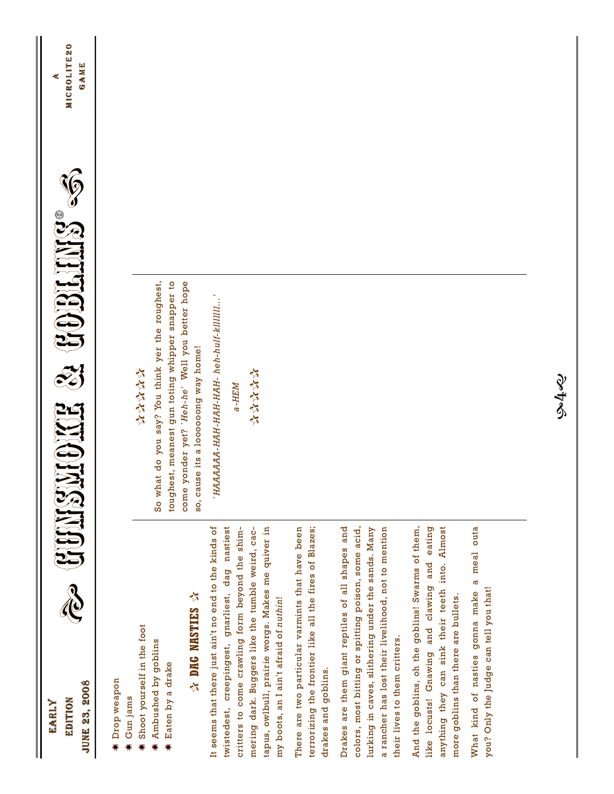| <b>JUNE 23, 2008</b><br><b>EDITION</b><br>EARLY                                                                                                                                                                                                                                                                             | Q HUBLING®<br>a UUNGNONG                                                                                                                                                                             | MICROLITE20<br>GAME |
|-----------------------------------------------------------------------------------------------------------------------------------------------------------------------------------------------------------------------------------------------------------------------------------------------------------------------------|------------------------------------------------------------------------------------------------------------------------------------------------------------------------------------------------------|---------------------|
| <b>A DHG NASTIES A</b><br>Shoot yourself in the foot<br>Ambushed by goblins<br>Eaten by a drake<br>Drop weapon<br>Gun jams<br>۵                                                                                                                                                                                             | So what do you say? You think yer the roughest,<br>toughest, meanest gun toting whipper snapper to<br>come yonder yet? 'Heh-he' Well you better hope<br>so, cause its a looooong way home!<br>****** |                     |
| It seems that there just ain't no end to the kinds of<br>nastiest<br>mering dark. Buggers like the tumble weird, cac-<br>tapus, owlbull, prairie worgs. Makes me quiver in<br>critters to come crawling form beyond the shim-<br>dag<br>gnarliest,<br>my boots, an I ain't afraid of nuthin!<br>creepingest,<br>twistedest, | 'HAAAAAA-HAH-HAH-HAH- heh-hulf-kllllll'<br>******<br>$A-HEM$                                                                                                                                         |                     |
| terrorizing the frontier like all the fires of Blazes;<br>There are two particular varmints that have been<br>drakes and goblins.                                                                                                                                                                                           |                                                                                                                                                                                                      |                     |
| Drakes are them giant reptiles of all shapes and<br>colors, most bitting or spitting poison, some acid,<br>a rancher has lost their livelihood, not to mention<br>lurking in caves, slithering under the sands. Many<br>their lives to them critters.                                                                       |                                                                                                                                                                                                      |                     |
| And the goblins, oh the goblins! Swarms of them,<br>eating<br>anything they can sink their teeth into. Almost<br>and<br>like locusts! Gnawing and clawing<br>more goblins than there are bullets.                                                                                                                           |                                                                                                                                                                                                      |                     |
| What kind of nasties gonna make a meal outa<br>you? Only the Judge can tell you that!                                                                                                                                                                                                                                       |                                                                                                                                                                                                      |                     |
|                                                                                                                                                                                                                                                                                                                             |                                                                                                                                                                                                      |                     |
|                                                                                                                                                                                                                                                                                                                             | چى<br>4                                                                                                                                                                                              |                     |